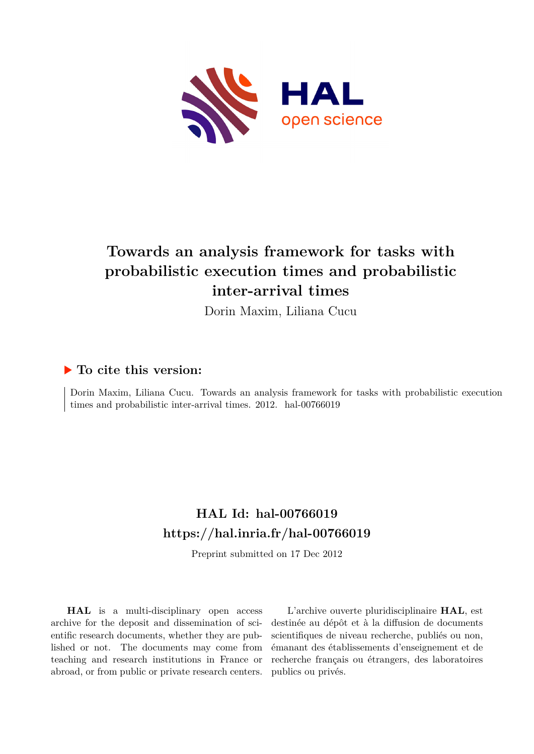

## **Towards an analysis framework for tasks with probabilistic execution times and probabilistic inter-arrival times**

Dorin Maxim, Liliana Cucu

### **To cite this version:**

Dorin Maxim, Liliana Cucu. Towards an analysis framework for tasks with probabilistic execution times and probabilistic inter-arrival times.  $2012$ . hal-00766019

## **HAL Id: hal-00766019 <https://hal.inria.fr/hal-00766019>**

Preprint submitted on 17 Dec 2012

**HAL** is a multi-disciplinary open access archive for the deposit and dissemination of scientific research documents, whether they are published or not. The documents may come from teaching and research institutions in France or abroad, or from public or private research centers.

L'archive ouverte pluridisciplinaire **HAL**, est destinée au dépôt et à la diffusion de documents scientifiques de niveau recherche, publiés ou non, émanant des établissements d'enseignement et de recherche français ou étrangers, des laboratoires publics ou privés.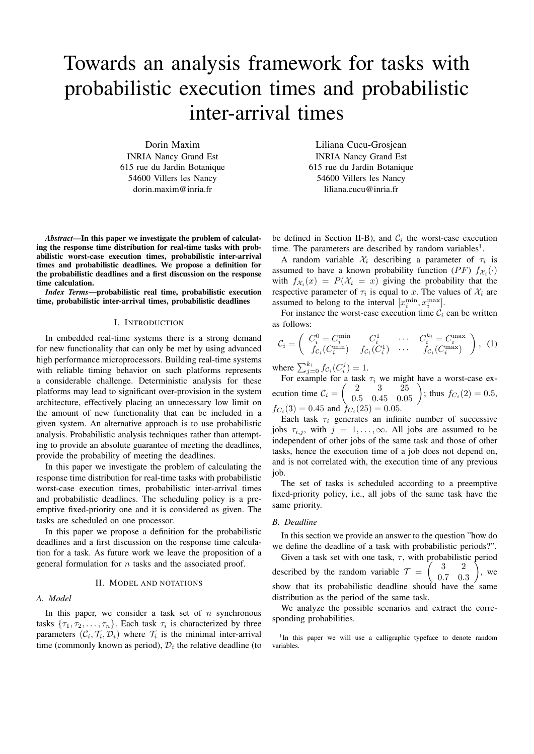# Towards an analysis framework for tasks with probabilistic execution times and probabilistic inter-arrival times

Dorin Maxim INRIA Nancy Grand Est 615 rue du Jardin Botanique 54600 Villers les Nancy dorin.maxim@inria.fr

*Abstract*—In this paper we investigate the problem of calculating the response time distribution for real-time tasks with probabilistic worst-case execution times, probabilistic inter-arrival times and probabilistic deadlines. We propose a definition for the probabilistic deadlines and a first discussion on the response time calculation.

*Index Terms*—probabilistic real time, probabilistic execution time, probabilistic inter-arrival times, probabilistic deadlines

#### I. INTRODUCTION

In embedded real-time systems there is a strong demand for new functionality that can only be met by using advanced high performance microprocessors. Building real-time systems with reliable timing behavior on such platforms represents a considerable challenge. Deterministic analysis for these platforms may lead to significant over-provision in the system architecture, effectively placing an unnecessary low limit on the amount of new functionality that can be included in a given system. An alternative approach is to use probabilistic analysis. Probabilistic analysis techniques rather than attempting to provide an absolute guarantee of meeting the deadlines, provide the probability of meeting the deadlines.

In this paper we investigate the problem of calculating the response time distribution for real-time tasks with probabilistic worst-case execution times, probabilistic inter-arrival times and probabilistic deadlines. The scheduling policy is a preemptive fixed-priority one and it is considered as given. The tasks are scheduled on one processor.

In this paper we propose a definition for the probabilistic deadlines and a first discussion on the response time calculation for a task. As future work we leave the proposition of a general formulation for  $n$  tasks and the associated proof.

#### II. MODEL AND NOTATIONS

#### *A. Model*

In this paper, we consider a task set of  $n$  synchronous tasks  $\{\tau_1, \tau_2, \ldots, \tau_n\}$ . Each task  $\tau_i$  is characterized by three parameters  $(C_i, \mathcal{T}_i, \mathcal{D}_i)$  where  $\mathcal{T}_i$  is the minimal inter-arrival time (commonly known as period),  $\mathcal{D}_i$  the relative deadline (to

Liliana Cucu-Grosjean INRIA Nancy Grand Est 615 rue du Jardin Botanique 54600 Villers les Nancy liliana.cucu@inria.fr

be defined in Section II-B), and  $C_i$  the worst-case execution time. The parameters are described by random variables<sup>1</sup>.

A random variable  $\mathcal{X}_i$  describing a parameter of  $\tau_i$  is assumed to have a known probability function (PF)  $f_{\mathcal{X}_i}(\cdot)$ with  $f_{\mathcal{X}_i}(x) = P(\mathcal{X}_i = x)$  giving the probability that the respective parameter of  $\tau_i$  is equal to x. The values of  $\mathcal{X}_i$  are assumed to belong to the interval  $[x_i^{\min}, x_i^{\max}]$ .

For instance the worst-case execution time  $C_i$  can be written as follows:

$$
\mathcal{C}_i = \begin{pmatrix} C_i^0 = C_i^{\min} & C_i^1 & \cdots & C_i^{k_i} = C_i^{\max} \\ f_{\mathcal{C}_i}(C_i^{\min}) & f_{\mathcal{C}_i}(C_i^1) & \cdots & f_{\mathcal{C}_i}(C_i^{\max}) \end{pmatrix}, (1)
$$

where  $\sum_{j=0}^{k_i} f_{\mathcal{C}_i}(C_i^j) = 1$ .

For example for a task  $\tau_i$  we might have a worst-case execution time  $C_i = \begin{pmatrix} 2 & 3 & 25 \\ 0.5 & 0.45 & 0.05 \end{pmatrix}$ ; thus  $f_{C_i}(2) = 0.5$ ,  $f_{C_i}(3) = 0.45$  and  $f_{C_i}(25) = 0.05$ .

Each task  $\tau_i$  generates an infinite number of successive jobs  $\tau_{i,j}$ , with  $j = 1, \ldots, \infty$ . All jobs are assumed to be independent of other jobs of the same task and those of other tasks, hence the execution time of a job does not depend on, and is not correlated with, the execution time of any previous job.

The set of tasks is scheduled according to a preemptive fixed-priority policy, i.e., all jobs of the same task have the same priority.

#### *B. Deadline*

In this section we provide an answer to the question "how do we define the deadline of a task with probabilistic periods?".

Given a task set with one task,  $\tau$ , with probabilistic period described by the random variable  $\mathcal{T} = \begin{pmatrix} 3 & 2 \\ 0 & 2 \end{pmatrix}$ 0.7 0.3 <sup>T</sup> , we show that its probabilistic deadline should have the same distribution as the period of the same task.

We analyze the possible scenarios and extract the corresponding probabilities.

<sup>&</sup>lt;sup>1</sup>In this paper we will use a calligraphic typeface to denote random variables.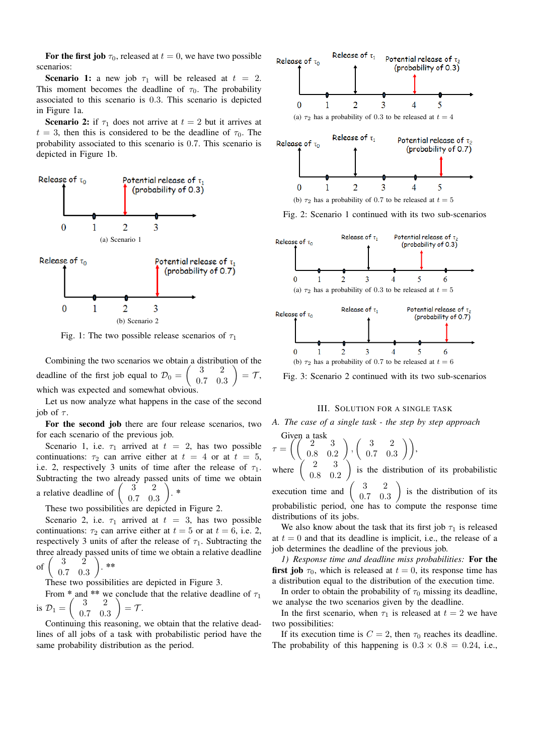For the first job  $\tau_0$ , released at  $t = 0$ , we have two possible scenarios:

**Scenario 1:** a new job  $\tau_1$  will be released at  $t = 2$ . This moment becomes the deadline of  $\tau_0$ . The probability associated to this scenario is 0.3. This scenario is depicted in Figure 1a.

**Scenario 2:** if  $\tau_1$  does not arrive at  $t = 2$  but it arrives at  $t = 3$ , then this is considered to be the deadline of  $\tau_0$ . The probability associated to this scenario is 0.7. This scenario is depicted in Figure 1b.



Fig. 1: The two possible release scenarios of  $\tau_1$ 

Combining the two scenarios we obtain a distribution of the deadline of the first job equal to  $\mathcal{D}_0 = \begin{pmatrix} 3 & 2 \\ 0 & 2 \end{pmatrix}$ 0.7 0.3  $\setminus$  $=$   $\tau$ , which was expected and somewhat obvious.

Let us now analyze what happens in the case of the second job of  $\tau$ .

For the second job there are four release scenarios, two for each scenario of the previous job.

Scenario 1, i.e.  $\tau_1$  arrived at  $t = 2$ , has two possible continuations:  $\tau_2$  can arrive either at  $t = 4$  or at  $t = 5$ , i.e. 2, respectively 3 units of time after the release of  $\tau_1$ . Subtracting the two already passed units of time we obtain a relative deadline of <sup>2</sup> 0.7 0.3  $\setminus$ . \*

These two possibilities are depicted in Figure 2.

Scenario 2, i.e.  $\tau_1$  arrived at  $t = 3$ , has two possible continuations:  $\tau_2$  can arrive either at  $t = 5$  or at  $t = 6$ , i.e. 2, respectively 3 units of after the release of  $\tau_1$ . Subtracting the three already passed units of time we obtain a relative deadline of 3 2 0.7 0.3  $\setminus$ . \*\*

These two possibilities are depicted in Figure 3.

From \* and \*\* we conclude that the relative deadline of  $\tau_1$ is  $\mathcal{D}_1 =$  $\sqrt{ }$ 3 2 0.7 0.3  $\setminus$  $=$   $\mathcal{T}$ .

Continuing this reasoning, we obtain that the relative deadlines of all jobs of a task with probabilistic period have the same probability distribution as the period.



Fig. 2: Scenario 1 continued with its two sub-scenarios



Fig. 3: Scenario 2 continued with its two sub-scenarios

III. SOLUTION FOR A SINGLE TASK



Given a task  
\n
$$
\tau = \left( \left( \begin{array}{ccc} 2 & 3 \\ 0.8 & 0.2 \end{array} \right), \left( \begin{array}{ccc} 3 & 2 \\ 0.7 & 0.3 \end{array} \right) \right),
$$
\nwhere  $\left( \begin{array}{ccc} 2 & 3 \\ 0.8 & 0.2 \end{array} \right)$  is the distribution of its probabilistic

execution time and 3 2 0.7 0.3  $\setminus$ is the distribution of its probabilistic period, one has to compute the response time distributions of its jobs.

We also know about the task that its first job  $\tau_1$  is released at  $t = 0$  and that its deadline is implicit, i.e., the release of a job determines the deadline of the previous job.

*1) Response time and deadline miss probabilities:* For the first job  $\tau_0$ , which is released at  $t = 0$ , its response time has a distribution equal to the distribution of the execution time.

In order to obtain the probability of  $\tau_0$  missing its deadline, we analyse the two scenarios given by the deadline.

In the first scenario, when  $\tau_1$  is released at  $t = 2$  we have two possibilities:

If its execution time is  $C = 2$ , then  $\tau_0$  reaches its deadline. The probability of this happening is  $0.3 \times 0.8 = 0.24$ , i.e.,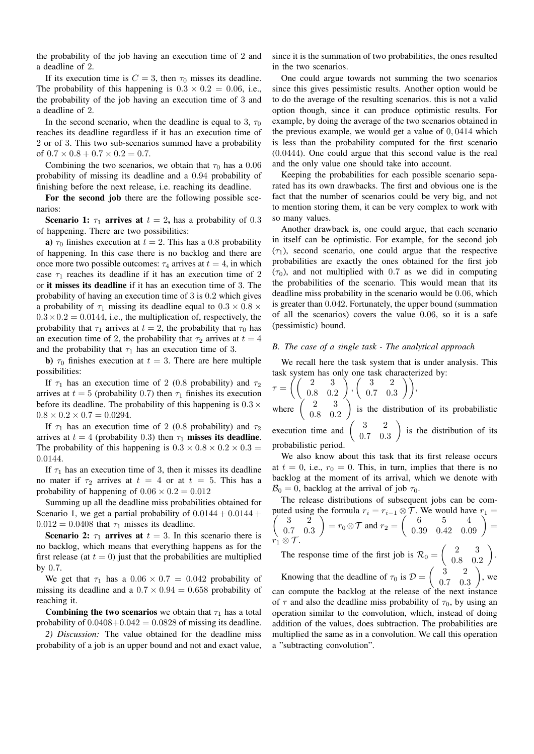the probability of the job having an execution time of 2 and a deadline of 2.

If its execution time is  $C = 3$ , then  $\tau_0$  misses its deadline. The probability of this happening is  $0.3 \times 0.2 = 0.06$ , i.e., the probability of the job having an execution time of 3 and a deadline of 2.

In the second scenario, when the deadline is equal to 3,  $\tau_0$ reaches its deadline regardless if it has an execution time of 2 or of 3. This two sub-scenarios summed have a probability of  $0.7 \times 0.8 + 0.7 \times 0.2 = 0.7$ .

Combining the two scenarios, we obtain that  $\tau_0$  has a 0.06 probability of missing its deadline and a 0.94 probability of finishing before the next release, i.e. reaching its deadline.

For the second job there are the following possible scenarios:

Scenario 1:  $\tau_1$  arrives at  $t = 2$ , has a probability of 0.3 of happening. There are two possibilities:

a)  $\tau_0$  finishes execution at  $t = 2$ . This has a 0.8 probability of happening. In this case there is no backlog and there are once more two possible outcomes:  $\tau_4$  arrives at  $t = 4$ , in which case  $\tau_1$  reaches its deadline if it has an execution time of 2 or it misses its deadline if it has an execution time of 3. The probability of having an execution time of 3 is 0.2 which gives a probability of  $\tau_1$  missing its deadline equal to  $0.3 \times 0.8 \times$  $0.3 \times 0.2 = 0.0144$ , i.e., the multiplication of, respectively, the probability that  $\tau_1$  arrives at  $t = 2$ , the probability that  $\tau_0$  has an execution time of 2, the probability that  $\tau_2$  arrives at  $t = 4$ and the probability that  $\tau_1$  has an execution time of 3.

b)  $\tau_0$  finishes execution at  $t = 3$ . There are here multiple possibilities:

If  $\tau_1$  has an execution time of 2 (0.8 probability) and  $\tau_2$ arrives at  $t = 5$  (probability 0.7) then  $\tau_1$  finishes its execution before its deadline. The probability of this happening is  $0.3 \times$  $0.8 \times 0.2 \times 0.7 = 0.0294$ .

If  $\tau_1$  has an execution time of 2 (0.8 probability) and  $\tau_2$ arrives at  $t = 4$  (probability 0.3) then  $\tau_1$  misses its deadline. The probability of this happening is  $0.3 \times 0.8 \times 0.2 \times 0.3$ 0.0144.

If  $\tau_1$  has an execution time of 3, then it misses its deadline no mater if  $\tau_2$  arrives at  $t = 4$  or at  $t = 5$ . This has a probability of happening of  $0.06 \times 0.2 = 0.012$ 

Summing up all the deadline miss probabilities obtained for Scenario 1, we get a partial probability of  $0.0144 + 0.0144 +$  $0.012 = 0.0408$  that  $\tau_1$  misses its deadline.

Scenario 2:  $\tau_1$  arrives at  $t = 3$ . In this scenario there is no backlog, which means that everything happens as for the first release (at  $t = 0$ ) just that the probabilities are multiplied by 0.7.

We get that  $\tau_1$  has a  $0.06 \times 0.7 = 0.042$  probability of missing its deadline and a  $0.7 \times 0.94 = 0.658$  probability of reaching it.

Combining the two scenarios we obtain that  $\tau_1$  has a total probability of  $0.0408+0.042 = 0.0828$  of missing its deadline.

*2) Discussion:* The value obtained for the deadline miss probability of a job is an upper bound and not and exact value, since it is the summation of two probabilities, the ones resulted in the two scenarios.

One could argue towards not summing the two scenarios since this gives pessimistic results. Another option would be to do the average of the resulting scenarios. this is not a valid option though, since it can produce optimistic results. For example, by doing the average of the two scenarios obtained in the previous example, we would get a value of 0, 0414 which is less than the probability computed for the first scenario (0.0444). One could argue that this second value is the real and the only value one should take into account.

Keeping the probabilities for each possible scenario separated has its own drawbacks. The first and obvious one is the fact that the number of scenarios could be very big, and not to mention storing them, it can be very complex to work with so many values.

Another drawback is, one could argue, that each scenario in itself can be optimistic. For example, for the second job  $(\tau_1)$ , second scenario, one could argue that the respective probabilities are exactly the ones obtained for the first job  $(\tau_0)$ , and not multiplied with 0.7 as we did in computing the probabilities of the scenario. This would mean that its deadline miss probability in the scenario would be 0.06, which is greater than 0.042. Fortunately, the upper bound (summation of all the scenarios) covers the value 0.06, so it is a safe (pessimistic) bound.

#### *B. The case of a single task - The analytical approach*

We recall here the task system that is under analysis. This task system has only one task characterized by:

$$
\tau = \left( \begin{pmatrix} 2 & 3 \\ 0.8 & 0.2 \end{pmatrix}, \begin{pmatrix} 3 & 2 \\ 0.7 & 0.3 \end{pmatrix} \right),
$$
  
where  $\begin{pmatrix} 2 & 3 \\ 0.8 & 0.2 \end{pmatrix}$  is the distribution of its probabilistic  
execution time and  $\begin{pmatrix} 3 & 2 \\ 0.7 & 0.3 \end{pmatrix}$  is the distribution of its  
probabilistic period.

We also know about this task that its first release occurs at  $t = 0$ , i.e.,  $r_0 = 0$ . This, in turn, implies that there is no backlog at the moment of its arrival, which we denote with  $\mathcal{B}_0 = 0$ , backlog at the arrival of job  $\tau_0$ .

The release distributions of subsequent jobs can be com-  $\frac{1}{2}$ puted using the formula  $r_i = r_{i-1} \otimes \mathcal{T}$ . We would have  $r_1 =$ 3 2 0.7 0.3  $= r_0 \otimes \mathcal{T}$  and  $r_2 = \begin{pmatrix} 6 & 5 & 4 \\ 0.39 & 0.42 & 0.09 \end{pmatrix} =$  $\vec{r_1} \otimes \mathcal{T}$ .

The response time of the first job is  $\mathcal{R}_0 = \begin{pmatrix} 2 & 3 \\ 0 & 2 \end{pmatrix}$ 0.8 0.2 . Knowing that the deadline of  $\tau_0$  is  $\mathcal{D} = \begin{pmatrix} 3 & 2 \\ 0 & 2 \end{pmatrix}$ 0.7 0.3  $\bigg)$ , we can compute the backlog at the release of the next instance of  $\tau$  and also the deadline miss probability of  $\tau_0$ , by using an operation similar to the convolution, which, instead of doing addition of the values, does subtraction. The probabilities are multiplied the same as in a convolution. We call this operation a "subtracting convolution".